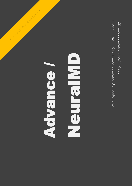http://www.advancesoft.jp http://www.advancesoft.jp

# $\begin{array}{|c|c|}\hline \textbf{Q} & \textbf{Q} \end{array}$  Developed by AdvanceSoft Corp. (2020-2021) Advance / Advance.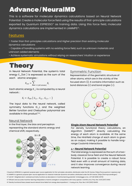# Advance / NeuralMD

This is a software for molecular dynamics calculations based on Neural Network Potential. Create a molecular force field using the results of first-principle calculations exported by Quantum ESPRESSO<sup>\*1</sup> as training data. Using this force field, molecular dynamics calculations are implemented in LAMMPS\*2 .

## **Features**

- Faster than first-principles calculations and Higher precision than existing molecular dynamics calculations

- Capable of handling systems with no existing force field, such as unknown materials and unknown added elements

- Achieve systematic simulations without relying on researchers' intuition or experience

# **Theory**

In Neural Network Potential, the system's total energy E\_(tot ) is expressed as the sum of the each atomic energies:

$$
E_{tot} = \sum_{i \in \text{all atoms}} E_i
$$

Each atomic energy E\_i is computed by a neural network:

$$
E_i = E_{NN} (G_{i,1}, G_{i,2}, G_{i,3}, \cdots)
$$

The input data to the neural network, called symmetry functions G\_i, and the weighted Behler function and Chebyshev polynomial are available in this product\*3,4 .

#### Neural Network

In the final layer, the bias and perceptron representing the standard atomic energy and chemical shift, respectively.



## Symmetric Function

Representation of the geometric structure of other atoms, which are in the vicinity of the focused atom (i). It contains information such as bond distances (r) and bond angles  $(\theta)$ .



#### **Single Atom Neural Network Potential**

For density functional theory calculations, an Algorithm (SANNP)\*5 directly calculating the energy of each atom is available. At the same time, the Hirshfeld charge of each atom is given as an output, making it possible to handle longrange Coulomb interactions.

#### **Δ - Neural Network Potential**

The total energy is expressed as the sum of a twobody classical force field and the Neural Network Potential. It is possible to create a robust force field even with a small amount of training data, and it also improves convergence during neural network learning.

\*1 Quantum ESPRESSO is a general-purpose open-source application for first-principles calculation, distributed under the GPL license. (https://www.quantum-espresso.org) \*2 LAMMPS is a general-purpose open-source application for classical molecular dynamics simulation, distributed under the GPL license. (https://lammps.sandia.gov) \*3 "wACSF—Weighted atom-centered symmetry functions as descriptors in machine learning potential", M.Gastegger, et al., JCP *148* (2018) 241709 \*4 "Efficient and accurate machine-learning interpolation of atomic energies in compositions with many species", N.Artrith, et al., Phys. Rev. B *96* (2017) 014112 \*5 "Density functional theory based neural network force fields from energy decompositions", Y. Huang, et al., Phys. Rev. B *99* (2019) 064103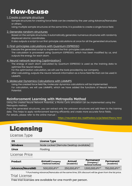# How-to-use

#### 1. Create a sample structure

Sample structures for creating force fields can be created by the user using Advance/NanoLabo or others.

Using multiple sample structures at the same time, it is possible to create a single force field.

#### 2. Generate random structures

Based on the sample structures, it automatically generates numerous structures with randomly displaced atomic coordinates.

It also outputs a script to run first-principle calculations at once for all the generated structures.

#### 3. First-principles calculations with Quantum ESPRESSO

Execute the generated script to implement the first-principles calculations. The calculation is processed using Quantum ESPRESSO, which has been modified by us, and outputs the energy for each atom.

#### 4. Neural network learning (optimization)

The energy of each atom calculated by Quantum ESPRESSO is used as the training data to optimize the neural network.

For the optimization calculation, we will use the tools provided by our company.

After calculating, outputs the neural network information as a force field file that can be used in LAMMPS.

#### 5. Molecular Dynamics Calculations with LAMMPS

Using the created force field file, molecular dynamics calculations will be implemented. For calculation, we will use LAMMPS, which we have added the functions of Neural Network Potential.

## **Reinforcement Learning with Metropolis Method**

Using the created Neural Network Potential, a Monte Carlo simulation can be implemented using the Metropolis method.

From the generated structures, you can extract only the unknown structures and add them to the training data. This helps to apply reinforcement learning efficiently and create more accurate force fields. For details, please refer to the online manual:

<https://neuralmd-doc.readthedocs.io/ja/latest/theory.html>

# Licensing

## License Type

| <b>OS</b>      | <b>License Type</b>                    |  |  |
|----------------|----------------------------------------|--|--|
| <b>Windows</b> | Node Locked (Remote Desktop available) |  |  |
| Linux          | Floating                               |  |  |

## License Price

| <b>Product</b>          | <b>Annual (Company</b><br>/ National Institute) | Annual<br>(Academic) | Permanent<br>(Company/<br><b>National Institute)</b> | <b>Permanent</b><br>(Academic) |
|-------------------------|-------------------------------------------------|----------------------|------------------------------------------------------|--------------------------------|
| <b>Advance/NeuralMD</b> | 500,000JPY*1                                    | 250,000JPY*1         | 1,500,000JPY*1                                       | 750,000JPY*1                   |

\*1 Purchasing Advance/NanoLabo at the same time, 20% discount will be given from the list price.

# Trial License

Free trial licenses are available for one month per person.